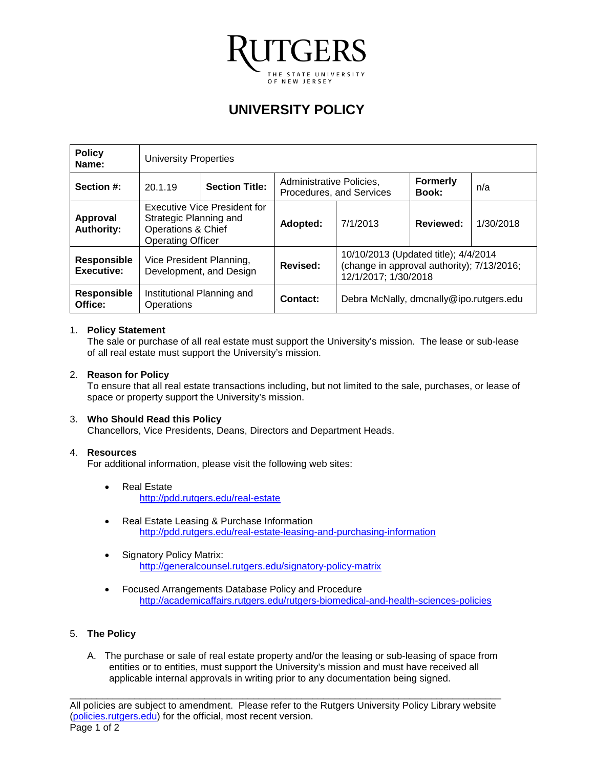

# **UNIVERSITY POLICY**

| <b>Policy</b><br>Name:           | <b>University Properties</b>                                                                             |  |                                                      |                                                                                                            |                                 |           |
|----------------------------------|----------------------------------------------------------------------------------------------------------|--|------------------------------------------------------|------------------------------------------------------------------------------------------------------------|---------------------------------|-----------|
| Section #:                       | <b>Section Title:</b><br>20.1.19                                                                         |  | Administrative Policies,<br>Procedures, and Services |                                                                                                            | <b>Formerly</b><br><b>Book:</b> | n/a       |
| Approval<br><b>Authority:</b>    | Executive Vice President for<br>Strategic Planning and<br>Operations & Chief<br><b>Operating Officer</b> |  | Adopted:                                             | 7/1/2013                                                                                                   | <b>Reviewed:</b>                | 1/30/2018 |
| <b>Responsible</b><br>Executive: | Vice President Planning,<br>Development, and Design                                                      |  | Revised:                                             | 10/10/2013 (Updated title); 4/4/2014<br>(change in approval authority); 7/13/2016;<br>12/1/2017; 1/30/2018 |                                 |           |
| <b>Responsible</b><br>Office:    | Institutional Planning and<br>Operations                                                                 |  | Contact:                                             | Debra McNally, dmcnally@ipo.rutgers.edu                                                                    |                                 |           |

### 1. **Policy Statement**

The sale or purchase of all real estate must support the University's mission. The lease or sub-lease of all real estate must support the University's mission.

### 2. **Reason for Policy**

To ensure that all real estate transactions including, but not limited to the sale, purchases, or lease of space or property support the University's mission.

# 3. **Who Should Read this Policy**

Chancellors, Vice Presidents, Deans, Directors and Department Heads.

#### 4. **Resources**

For additional information, please visit the following web sites:

- Real Estate <http://pdd.rutgers.edu/real-estate>
- Real Estate Leasing & Purchase Information <http://pdd.rutgers.edu/real-estate-leasing-and-purchasing-information>
- Signatory Policy Matrix: <http://generalcounsel.rutgers.edu/signatory-policy-matrix>
- Focused Arrangements Database Policy and Procedure <http://academicaffairs.rutgers.edu/rutgers-biomedical-and-health-sciences-policies>

# 5. **The Policy**

A. The purchase or sale of real estate property and/or the leasing or sub-leasing of space from entities or to entities, must support the University's mission and must have received all applicable internal approvals in writing prior to any documentation being signed.